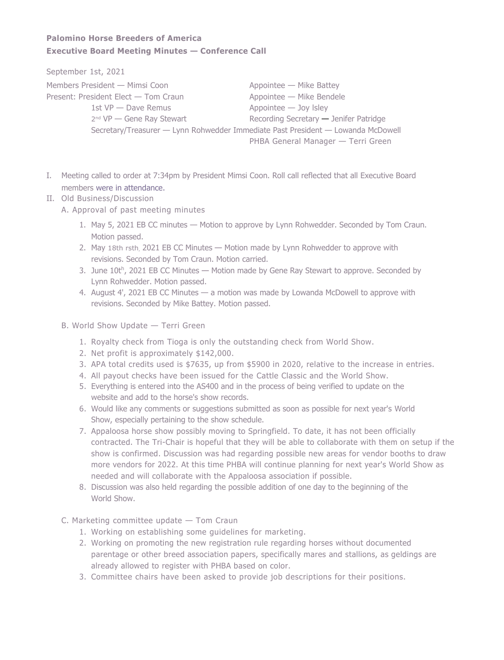## **Palomino Horse Breeders of America Executive Board Meeting Minutes — Conference Call**

September 1st, 2021

| Members President - Mimsi Coon       | Appointee - Mike Battey                                                          |
|--------------------------------------|----------------------------------------------------------------------------------|
| Present: President Elect — Tom Craun | Appointee - Mike Bendele                                                         |
| 1st $VP$ $\rightarrow$ Dave Remus    | $Appointee$ - Joy Isley                                                          |
| $2^{nd} VP$ - Gene Ray Stewart       | Recording Secretary - Jenifer Patridge                                           |
|                                      | Secretary/Treasurer — Lynn Rohwedder Immediate Past President — Lowanda McDowell |
|                                      | PHBA General Manager — Terri Green                                               |

- I. Meeting called to order at 7:34pm by President Mimsi Coon. Roll call reflected that all Executive Board members were in attendance.
- II. Old Business/Discussion
	- A. Approval of past meeting minutes
		- 1. May 5, 2021 EB CC minutes Motion to approve by Lynn Rohwedder. Seconded by Tom Craun. Motion passed.
		- 2. May 18th rsth, 2021 EB CC Minutes Motion made by Lynn Rohwedder to approve with revisions. Seconded by Tom Craun. Motion carried.
		- 3. June  $10t^h$ , 2021 EB CC Minutes  $-$  Motion made by Gene Ray Stewart to approve. Seconded by Lynn Rohwedder. Motion passed.
		- 4. August 4', 2021 EB CC Minutes a motion was made by Lowanda McDowell to approve with revisions. Seconded by Mike Battey. Motion passed.
	- B. World Show Update Terri Green
		- 1. Royalty check from Tioga is only the outstanding check from World Show.
		- 2. Net profit is approximately \$142,000.
		- 3. APA total credits used is \$7635, up from \$5900 in 2020, relative to the increase in entries.
		- 4. All payout checks have been issued for the Cattle Classic and the World Show.
		- 5. Everything is entered into the AS400 and in the process of being verified to update on the website and add to the horse's show records.
		- 6. Would like any comments or suggestions submitted as soon as possible for next year's World Show, especially pertaining to the show schedule.
		- 7. Appaloosa horse show possibly moving to Springfield. To date, it has not been officially contracted. The Tri-Chair is hopeful that they will be able to collaborate with them on setup if the show is confirmed. Discussion was had regarding possible new areas for vendor booths to draw more vendors for 2022. At this time PHBA will continue planning for next year's World Show as needed and will collaborate with the Appaloosa association if possible.
		- 8. Discussion was also held regarding the possible addition of one day to the beginning of the World Show.
	- C. Marketing committee update Tom Craun
		- 1. Working on establishing some guidelines for marketing.
		- 2. Working on promoting the new registration rule regarding horses without documented parentage or other breed association papers, specifically mares and stallions, as geldings are already allowed to register with PHBA based on color.
		- 3. Committee chairs have been asked to provide job descriptions for their positions.